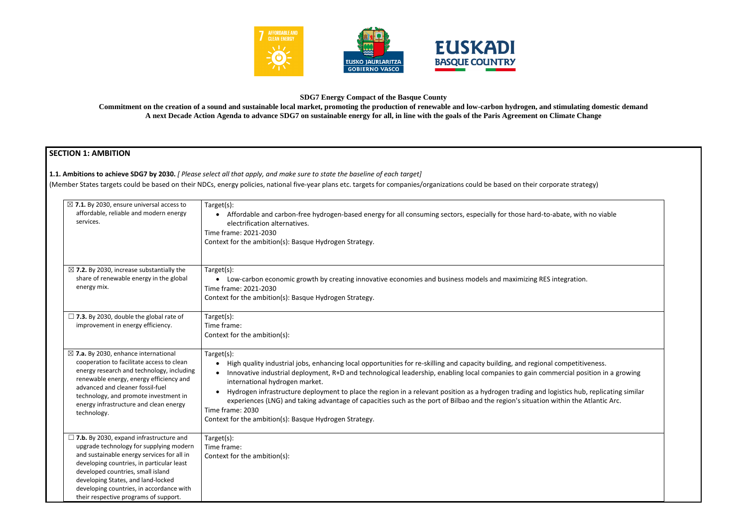

## **SDG7 Energy Compact of the Basque County**

**Commitment on the creation of a sound and sustainable local market, promoting the production of renewable and low-carbon hydrogen, and stimulating domestic demand A next Decade Action Agenda to advance SDG7 on sustainable energy for all, in line with the goals of the Paris Agreement on Climate Change**

# **SECTION 1: AMBITION**

**1.1. Ambitions to achieve SDG7 by 2030.** *[ Please select all that apply, and make sure to state the baseline of each target]* 

(Member States targets could be based on their NDCs, energy policies, national five-year plans etc. targets for companies/organizations could be based on their corporat

|  | $\boxtimes$ 7.1. By 2030, ensure universal access to<br>affordable, reliable and modern energy<br>services.                                                                                                                                                                                                                                          | Target(s):<br>Affordable and carbon-free hydrogen-based energy for all consuming sectors, especially for those hard-to-abate, with no viable<br>$\bullet$<br>electrification alternatives.<br>Time frame: 2021-2030<br>Context for the ambition(s): Basque Hydrogen Strategy.                                                                                                                                                                                                                                                                                                                                                                                                                             |
|--|------------------------------------------------------------------------------------------------------------------------------------------------------------------------------------------------------------------------------------------------------------------------------------------------------------------------------------------------------|-----------------------------------------------------------------------------------------------------------------------------------------------------------------------------------------------------------------------------------------------------------------------------------------------------------------------------------------------------------------------------------------------------------------------------------------------------------------------------------------------------------------------------------------------------------------------------------------------------------------------------------------------------------------------------------------------------------|
|  | $\boxtimes$ 7.2. By 2030, increase substantially the<br>share of renewable energy in the global<br>energy mix.                                                                                                                                                                                                                                       | Target(s):<br>• Low-carbon economic growth by creating innovative economies and business models and maximizing RES integration.<br>Time frame: 2021-2030<br>Context for the ambition(s): Basque Hydrogen Strategy.                                                                                                                                                                                                                                                                                                                                                                                                                                                                                        |
|  | $\Box$ 7.3. By 2030, double the global rate of<br>improvement in energy efficiency.                                                                                                                                                                                                                                                                  | Target(s):<br>Time frame:<br>Context for the ambition(s):                                                                                                                                                                                                                                                                                                                                                                                                                                                                                                                                                                                                                                                 |
|  | $\boxtimes$ 7.a. By 2030, enhance international<br>cooperation to facilitate access to clean<br>energy research and technology, including<br>renewable energy, energy efficiency and<br>advanced and cleaner fossil-fuel<br>technology, and promote investment in<br>energy infrastructure and clean energy<br>technology.                           | Target(s):<br>High quality industrial jobs, enhancing local opportunities for re-skilling and capacity building, and regional competitiveness.<br>Innovative industrial deployment, R+D and technological leadership, enabling local companies to gain commercial position in a growing<br>international hydrogen market.<br>Hydrogen infrastructure deployment to place the region in a relevant position as a hydrogen trading and logistics hub, replicating similar<br>$\bullet$<br>experiences (LNG) and taking advantage of capacities such as the port of Bilbao and the region's situation within the Atlantic Arc.<br>Time frame: 2030<br>Context for the ambition(s): Basque Hydrogen Strategy. |
|  | $\Box$ 7.b. By 2030, expand infrastructure and<br>upgrade technology for supplying modern<br>and sustainable energy services for all in<br>developing countries, in particular least<br>developed countries, small island<br>developing States, and land-locked<br>developing countries, in accordance with<br>their respective programs of support. | Target(s):<br>Time frame:<br>Context for the ambition(s):                                                                                                                                                                                                                                                                                                                                                                                                                                                                                                                                                                                                                                                 |

| te strategy)                                         |  |
|------------------------------------------------------|--|
| te, with no viable                                   |  |
|                                                      |  |
|                                                      |  |
| gration.                                             |  |
|                                                      |  |
|                                                      |  |
| npetitiveness.<br>cial position in a growing         |  |
| ics hub, replicating similar<br>in the Atlantic Arc. |  |
|                                                      |  |
|                                                      |  |
|                                                      |  |
|                                                      |  |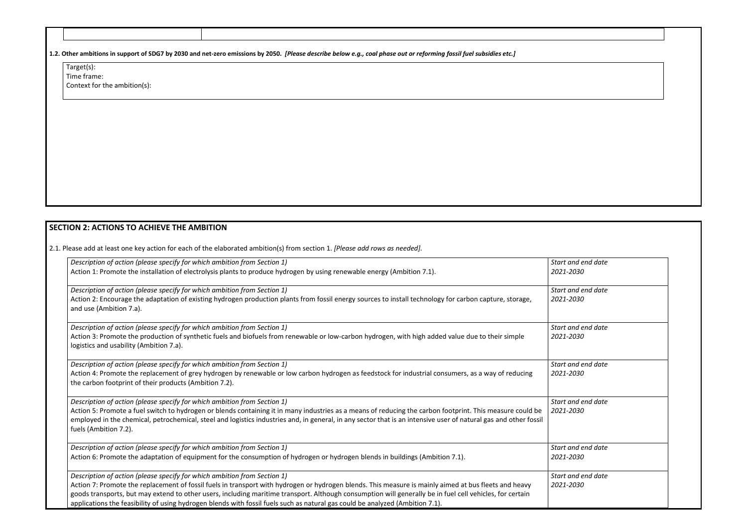| 1.2. Other ambitions in support of SDG7 by 2030 and net-zero emissions by 2050. [Please describe below e.g., coal phase out or reforming fossil fuel subsidies etc.] |  |
|----------------------------------------------------------------------------------------------------------------------------------------------------------------------|--|

| Target(s):                   |
|------------------------------|
| Time frame:                  |
| Context for the ambition(s): |

# **SECTION 2: ACTIONS TO ACHIEVE THE AMBITION**

2.1. Please add at least one key action for each of the elaborated ambition(s) from section 1. *[Please add rows as needed].*

| Description of action (please specify for which ambition from Section 1)                                                                                                                                                                                                                                                                               | Start |
|--------------------------------------------------------------------------------------------------------------------------------------------------------------------------------------------------------------------------------------------------------------------------------------------------------------------------------------------------------|-------|
| Action 1: Promote the installation of electrolysis plants to produce hydrogen by using renewable energy (Ambition 7.1).                                                                                                                                                                                                                                | 2021  |
| Description of action (please specify for which ambition from Section 1)                                                                                                                                                                                                                                                                               | Start |
| Action 2: Encourage the adaptation of existing hydrogen production plants from fossil energy sources to install technology for carbon capture, storage,<br>and use (Ambition 7.a).                                                                                                                                                                     | 2021  |
| Description of action (please specify for which ambition from Section 1)                                                                                                                                                                                                                                                                               | Start |
| Action 3: Promote the production of synthetic fuels and biofuels from renewable or low-carbon hydrogen, with high added value due to their simple<br>logistics and usability (Ambition 7.a).                                                                                                                                                           | 2021  |
| Description of action (please specify for which ambition from Section 1)                                                                                                                                                                                                                                                                               | Start |
| Action 4: Promote the replacement of grey hydrogen by renewable or low carbon hydrogen as feedstock for industrial consumers, as a way of reducing<br>the carbon footprint of their products (Ambition 7.2).                                                                                                                                           | 2021  |
| Description of action (please specify for which ambition from Section 1)                                                                                                                                                                                                                                                                               | Start |
| Action 5: Promote a fuel switch to hydrogen or blends containing it in many industries as a means of reducing the carbon footprint. This measure could be<br>employed in the chemical, petrochemical, steel and logistics industries and, in general, in any sector that is an intensive user of natural gas and other fossil<br>fuels (Ambition 7.2). | 2021  |
| Description of action (please specify for which ambition from Section 1)                                                                                                                                                                                                                                                                               | Start |
| Action 6: Promote the adaptation of equipment for the consumption of hydrogen or hydrogen blends in buildings (Ambition 7.1).                                                                                                                                                                                                                          | 2021  |
| Description of action (please specify for which ambition from Section 1)                                                                                                                                                                                                                                                                               | Start |
| Action 7: Promote the replacement of fossil fuels in transport with hydrogen or hydrogen blends. This measure is mainly aimed at bus fleets and heavy                                                                                                                                                                                                  | 2021  |
| goods transports, but may extend to other users, including maritime transport. Although consumption will generally be in fuel cell vehicles, for certain<br>applications the feasibility of using hydrogen blends with fossil fuels such as natural gas could be analyzed (Ambition 7.1).                                                              |       |

| Start and end date |  |
|--------------------|--|
| 2021-2030          |  |
|                    |  |
| Start and end date |  |
| 2021-2030          |  |
|                    |  |
|                    |  |
| Start and end date |  |
| 2021-2030          |  |
|                    |  |
| Start and end date |  |
| 2021-2030          |  |
|                    |  |
|                    |  |
| Start and end date |  |
| 2021-2030          |  |
|                    |  |
|                    |  |
|                    |  |
| Start and end date |  |
| 2021-2030          |  |
|                    |  |
| Start and end date |  |
| 2021-2030          |  |
|                    |  |
|                    |  |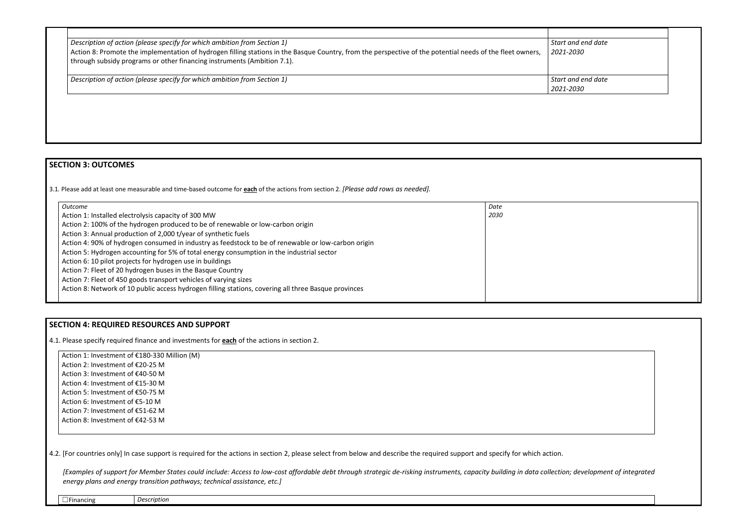| Description of action (please specify for which ambition from Section 1)                                                                                                                                                             | Start and end date              |
|--------------------------------------------------------------------------------------------------------------------------------------------------------------------------------------------------------------------------------------|---------------------------------|
| Action 8: Promote the implementation of hydrogen filling stations in the Basque Country, from the perspective of the potential needs of the fleet owners,<br>through subsidy programs or other financing instruments (Ambition 7.1). | 2021-2030                       |
| Description of action (please specify for which ambition from Section 1)                                                                                                                                                             | Start and end date<br>2021-2030 |



## **SECTION 3: OUTCOMES**

3.1*.* Please add at least one measurable and time-based outcome for **each** of the actions from section 2. *[Please add rows as needed].*

| 2030<br>Action 1: Installed electrolysis capacity of 300 MW<br>Action 2: 100% of the hydrogen produced to be of renewable or low-carbon origin | Date |
|------------------------------------------------------------------------------------------------------------------------------------------------|------|
|                                                                                                                                                |      |
|                                                                                                                                                |      |
|                                                                                                                                                |      |
| Action 3: Annual production of 2,000 t/year of synthetic fuels                                                                                 |      |
| Action 4: 90% of hydrogen consumed in industry as feedstock to be of renewable or low-carbon origin                                            |      |
| Action 5: Hydrogen accounting for 5% of total energy consumption in the industrial sector                                                      |      |
| Action 6: 10 pilot projects for hydrogen use in buildings                                                                                      |      |
| Action 7: Fleet of 20 hydrogen buses in the Basque Country                                                                                     |      |
| Action 7: Fleet of 450 goods transport vehicles of varying sizes                                                                               |      |
| Action 8: Network of 10 public access hydrogen filling stations, covering all three Basque provinces                                           |      |
|                                                                                                                                                |      |

# **SECTION 4: REQUIRED RESOURCES AND SUPPORT**

4.1. Please specify required finance and investments for **each** of the actions in section 2.

Action 1: Investment of €180-330 Million (M) Action 2: Investment of €20-25 M Action 3: Investment of €40-50 M Action 4: Investment of €15-30 M Action 5: Investment of €50-75 M Action 6: Investment of €5-10 M Action 7: Investment of €51-62 M Action 8: Investment of €42-53 M

4.2. [For countries only] In case support is required for the actions in section 2, please select from below and describe the required support and specify for which action.

*[Examples of support for Member States could include: Access to low-cost affordable debt through strategic de-risking instruments, capacity building in data collection; development of integrated energy plans and energy transition pathways; technical assistance, etc.]*

☐Financing *Description*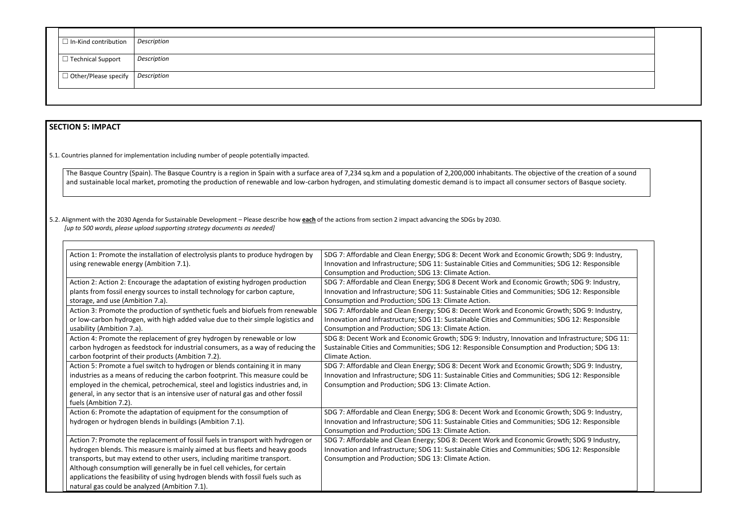| $\Box$ In-Kind contribution   Description       |             |  |
|-------------------------------------------------|-------------|--|
| $\Box$ Technical Support                        | Description |  |
| $\Box$ Other/Please specify $\big $ Description |             |  |

## **SECTION 5: IMPACT**

5.1. Countries planned for implementation including number of people potentially impacted.

The Basque Country (Spain). The Basque Country is a region in Spain with a surface area of 7,234 sq.km and a population of 2,200,000 inhabitants. The objective of the creation of a sound and sustainable local market, promoting the production of renewable and low-carbon hydrogen, and stimulating domestic demand is to impact all consumer sectors of Basque society.

5.2. Alignment with the 2030 Agenda for Sustainable Development – Please describe how **each** of the actions from section 2 impact advancing the SDGs by 2030. *[up to 500 words, please upload supporting strategy documents as needed]* 

dd

| Action 1: Promote the installation of electrolysis plants to produce hydrogen by | SDG 7: Affordable and Clean Energy; SDG 8: Decent Work and Economic Growt     |
|----------------------------------------------------------------------------------|-------------------------------------------------------------------------------|
| using renewable energy (Ambition 7.1).                                           | Innovation and Infrastructure; SDG 11: Sustainable Cities and Communities; SD |
|                                                                                  | Consumption and Production; SDG 13: Climate Action.                           |
| Action 2: Action 2: Encourage the adaptation of existing hydrogen production     | SDG 7: Affordable and Clean Energy; SDG 8 Decent Work and Economic Growth     |
| plants from fossil energy sources to install technology for carbon capture,      | Innovation and Infrastructure; SDG 11: Sustainable Cities and Communities; SD |
| storage, and use (Ambition 7.a).                                                 | Consumption and Production; SDG 13: Climate Action.                           |
| Action 3: Promote the production of synthetic fuels and biofuels from renewable  | SDG 7: Affordable and Clean Energy; SDG 8: Decent Work and Economic Growt     |
| or low-carbon hydrogen, with high added value due to their simple logistics and  | Innovation and Infrastructure; SDG 11: Sustainable Cities and Communities; SD |
| usability (Ambition 7.a).                                                        | Consumption and Production; SDG 13: Climate Action.                           |
| Action 4: Promote the replacement of grey hydrogen by renewable or low           | SDG 8: Decent Work and Economic Growth; SDG 9: Industry, Innovation and In    |
| carbon hydrogen as feedstock for industrial consumers, as a way of reducing the  | Sustainable Cities and Communities; SDG 12: Responsible Consumption and Pro   |
| carbon footprint of their products (Ambition 7.2).                               | Climate Action.                                                               |
| Action 5: Promote a fuel switch to hydrogen or blends containing it in many      | SDG 7: Affordable and Clean Energy; SDG 8: Decent Work and Economic Growt     |
| industries as a means of reducing the carbon footprint. This measure could be    | Innovation and Infrastructure; SDG 11: Sustainable Cities and Communities; SD |
| employed in the chemical, petrochemical, steel and logistics industries and, in  | Consumption and Production; SDG 13: Climate Action.                           |
| general, in any sector that is an intensive user of natural gas and other fossil |                                                                               |
| fuels (Ambition 7.2).                                                            |                                                                               |
| Action 6: Promote the adaptation of equipment for the consumption of             | SDG 7: Affordable and Clean Energy; SDG 8: Decent Work and Economic Growt     |
| hydrogen or hydrogen blends in buildings (Ambition 7.1).                         | Innovation and Infrastructure; SDG 11: Sustainable Cities and Communities; SD |
|                                                                                  | Consumption and Production; SDG 13: Climate Action.                           |
| Action 7: Promote the replacement of fossil fuels in transport with hydrogen or  | SDG 7: Affordable and Clean Energy; SDG 8: Decent Work and Economic Growt     |
| hydrogen blends. This measure is mainly aimed at bus fleets and heavy goods      | Innovation and Infrastructure; SDG 11: Sustainable Cities and Communities; SD |
| transports, but may extend to other users, including maritime transport.         | Consumption and Production; SDG 13: Climate Action.                           |
| Although consumption will generally be in fuel cell vehicles, for certain        |                                                                               |
| applications the feasibility of using hydrogen blends with fossil fuels such as  |                                                                               |
| natural gas could be analyzed (Ambition 7.1).                                    |                                                                               |

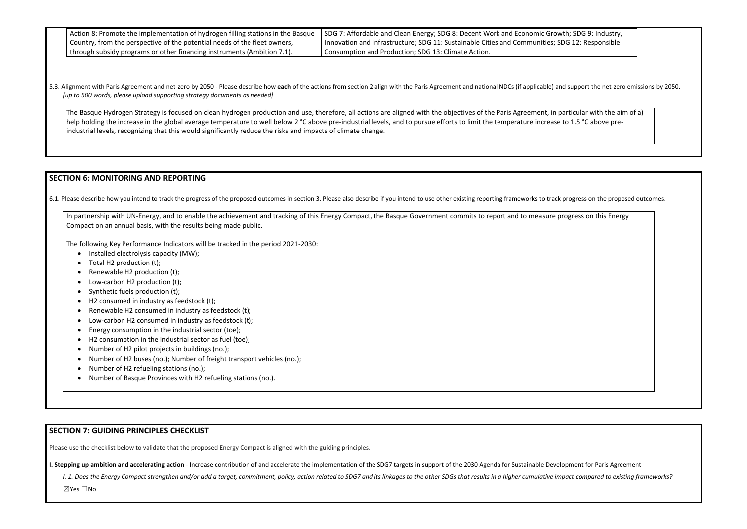| $\vert$ Action 8: Promote the implementation of hydrogen filling stations in the Basque $\vert$ | SDG 7: Affordable and Clean Energy; SDG 8: Decent Work and Economic Growth; SDG 9: Industry,   |
|-------------------------------------------------------------------------------------------------|------------------------------------------------------------------------------------------------|
| I Country, from the perspective of the potential needs of the fleet owners,                     | Innovation and Infrastructure; SDG 11: Sustainable Cities and Communities; SDG 12: Responsible |
| through subsidy programs or other financing instruments (Ambition 7.1).                         | <sup>1</sup> Consumption and Production; SDG 13: Climate Action.                               |

5.3. Alignment with Paris Agreement and net-zero by 2050 - Please describe how each of the actions from section 2 align with the Paris Agreement and national NDCs (if applicable) and support the net-zero emissions by 2050. *[up to 500 words, please upload supporting strategy documents as needed]* 

The Basque Hydrogen Strategy is focused on clean hydrogen production and use, therefore, all actions are aligned with the objectives of the Paris Agreement, in particular with the aim of a) help holding the increase in the global average temperature to well below 2 °C above pre-industrial levels, and to pursue efforts to limit the temperature increase to 1.5 °C above preindustrial levels, recognizing that this would significantly reduce the risks and impacts of climate change.

## **SECTION 6: MONITORING AND REPORTING**

dd yn y

6.1. Please describe how you intend to track the progress of the proposed outcomes in section 3. Please also describe if you intend to use other existing reporting frameworks to track progress on the proposed outcomes.

In partnership with UN-Energy, and to enable the achievement and tracking of this Energy Compact, the Basque Government commits to report and to measure progress on this Energy Compact on an annual basis, with the results being made public.

The following Key Performance Indicators will be tracked in the period 2021-2030:

- Installed electrolysis capacity (MW);
- Total H2 production (t);
- Renewable H2 production (t);
- Low-carbon H2 production (t);
- Synthetic fuels production (t);
- H2 consumed in industry as feedstock (t);
- Renewable H2 consumed in industry as feedstock (t);
- Low-carbon H2 consumed in industry as feedstock (t);
- Energy consumption in the industrial sector (toe);
- H2 consumption in the industrial sector as fuel (toe);
- Number of H2 pilot projects in buildings (no.);
- Number of H2 buses (no.); Number of freight transport vehicles (no.);
- Number of H2 refueling stations (no.);
- Number of Basque Provinces with H2 refueling stations (no.).

## **SECTION 7: GUIDING PRINCIPLES CHECKLIST**

Please use the checklist below to validate that the proposed Energy Compact is aligned with the guiding principles.

**I. Stepping up ambition and accelerating action** - Increase contribution of and accelerate the implementation of the SDG7 targets in support of the 2030 Agenda for Sustainable Development for Paris Agreement

I. 1. Does the Energy Compact strengthen and/or add a target, commitment, policy, action related to SDG7 and its linkages to the other SDGs that results in a higher cumulative impact compared to existing frameworks?

☒Yes ☐No

| h; SDG 9: Industry, |  |
|---------------------|--|
| G 12: Responsible   |  |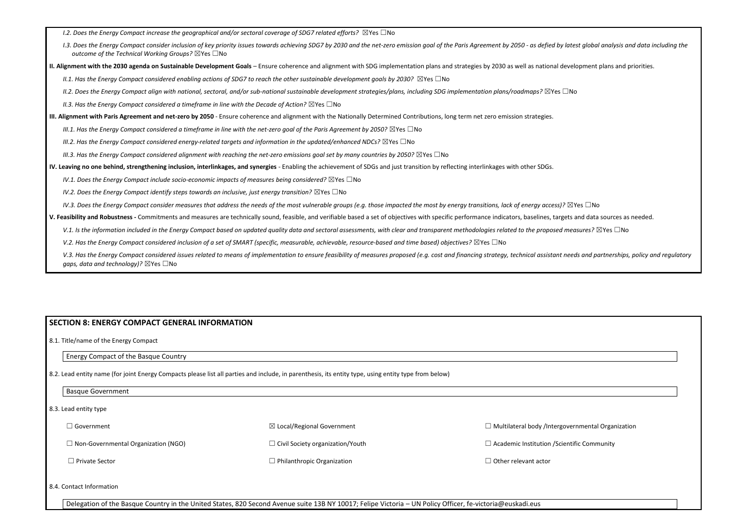| 1.2. Does the Energy Compact increase the geographical and/or sectoral coverage of SDG7 related efforts? $\boxtimes$ Yes $\Box$ No                                                                                                                                                |  |
|-----------------------------------------------------------------------------------------------------------------------------------------------------------------------------------------------------------------------------------------------------------------------------------|--|
| I.3. Does the Energy Compact consider inclusion of key priority issues towards achieving SDG7 by 2030 and the net-zero emission goal of the Paris Agreement by 2050 - as defied by latest global analysis a<br>outcome of the Technical Working Groups? $\boxtimes$ Yes $\Box$ No |  |
| II. Alignment with the 2030 agenda on Sustainable Development Goals - Ensure coherence and alignment with SDG implementation plans and strategies by 2030 as well as national development plans and                                                                               |  |
| II.1. Has the Energy Compact considered enabling actions of SDG7 to reach the other sustainable development goals by 2030? $\boxtimes$ Yes $\Box$ No                                                                                                                              |  |
| II.2. Does the Energy Compact align with national, sectoral, and/or sub-national sustainable development strategies/plans, including SDG implementation plans/roadmaps? $\boxtimes$ Yes $\Box$ No                                                                                 |  |
| II.3. Has the Energy Compact considered a timeframe in line with the Decade of Action? $\boxtimes$ Yes $\Box$ No                                                                                                                                                                  |  |
| III. Alignment with Paris Agreement and net-zero by 2050 - Ensure coherence and alignment with the Nationally Determined Contributions, long term net zero emission strategies.                                                                                                   |  |
| III.1. Has the Energy Compact considered a timeframe in line with the net-zero goal of the Paris Agreement by 2050? $\boxtimes$ Yes $\Box$ No                                                                                                                                     |  |
| III.2. Has the Energy Compact considered energy-related targets and information in the updated/enhanced NDCs? $\boxtimes$ Yes $\Box$ No                                                                                                                                           |  |
| III.3. Has the Energy Compact considered alignment with reaching the net-zero emissions goal set by many countries by 2050? $\boxtimes$ Yes $\Box$ No                                                                                                                             |  |
| IV. Leaving no one behind, strengthening inclusion, interlinkages, and synergies - Enabling the achievement of SDGs and just transition by reflecting interlinkages with other SDGs.                                                                                              |  |
| IV.1. Does the Energy Compact include socio-economic impacts of measures being considered? $\boxtimes$ Yes $\Box$ No                                                                                                                                                              |  |
| IV.2. Does the Energy Compact identify steps towards an inclusive, just energy transition? $\boxtimes$ Yes $\Box$ No                                                                                                                                                              |  |
| IV.3. Does the Energy Compact consider measures that address the needs of the most vulnerable groups (e.g. those impacted the most by energy transitions, lack of energy access)? $\boxtimes$ Yes $\Box$ No                                                                       |  |
| V. Feasibility and Robustness - Commitments and measures are technically sound, feasible, and verifiable based a set of objectives with specific performance indicators, baselines, targets and data sources as                                                                   |  |
| V.1. Is the information included in the Energy Compact based on updated quality data and sectoral assessments, with clear and transparent methodologies related to the proposed measures? $\boxtimes$ Yes $\Box$ No                                                               |  |
| V.2. Has the Energy Compact considered inclusion of a set of SMART (specific, measurable, achievable, resource-based and time based) objectives? $\boxtimes$ Yes $\Box$ No                                                                                                        |  |
| V.3. Has the Energy Compact considered issues related to means of implementation to ensure feasibility of measures proposed (e.g. cost and financing strategy, technical assistant needs and partnerships<br>gaps, data and technology)? $\boxtimes$ Yes $\Box$ No                |  |

## **SECTION 8: ENERGY COMPACT GENERAL INFORMATION**

8.1. Title/name of the Energy Compact

### Energy Compact of the Basque Country

8.2. Lead entity name (for joint Energy Compacts please list all parties and include, in parenthesis, its entity type, using entity type from below)

### Basque Government

8.3. Lead entity type

□ Government

☐ Non-Governmental Organization (NGO)

☐ Private Sector

☒ Local/Regional Government ☐ Civil Society organization/Youth ☐ Philanthropic Organization

□ Multilateral body /Intergo

 $\Box$  Academic Institution / Scientific Community

□ Other relevant actor

8.4. Contact Information

Delegation of the Basque Country in the United States, 820 Second Avenue suite 13B NY 10017; Felipe Victoria – UN Policy Officer, fe-victoria@euskadi.eus

latest global analysis and data including the

evelopment plans and priorities.

ets and data sources as needed.

needs and partnerships, policy and regulatory

| overnmental Organization |  |
|--------------------------|--|
| entific Community        |  |
|                          |  |
|                          |  |
|                          |  |
|                          |  |